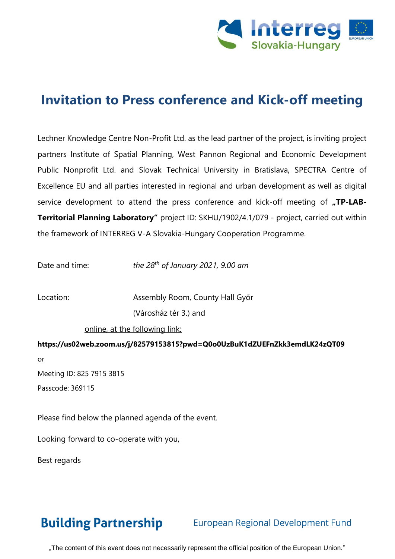

### **Invitation to Press conference and Kick-off meeting**

Lechner Knowledge Centre Non-Profit Ltd. as the lead partner of the project, is inviting project partners Institute of Spatial Planning, West Pannon Regional and Economic Development Public Nonprofit Ltd. and Slovak Technical University in Bratislava, SPECTRA Centre of Excellence EU and all parties interested in regional and urban development as well as digital service development to attend the press conference and kick-off meeting of "TP-LAB-**Territorial Planning Laboratory"** project ID: SKHU/1902/4.1/079 - project, carried out within the framework of INTERREG V-A Slovakia-Hungary Cooperation Programme.

Date and time: *the 28th of January 2021, 9.00 am*

Location: Assembly Room, County Hall Győr (Városház tér 3.) and

online, at the following link:

**<https://us02web.zoom.us/j/82579153815?pwd=Q0o0UzBuK1dZUEFnZkk3emdLK24zQT09>** or Meeting ID: 825 7915 3815 Passcode: 369115

Please find below the planned agenda of the event.

Looking forward to co-operate with you,

Best regards

# **Building Partnership**

#### **European Regional Development Fund**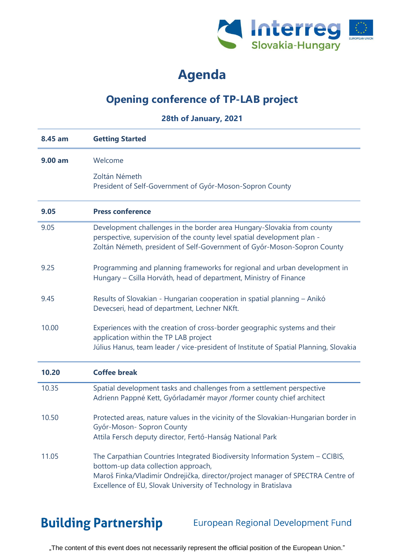

# **Agenda**

#### **Opening conference of TP-LAB project**

**28th of January, 2021**

| 8.45 am | <b>Getting Started</b>                                                                                                                                                                                                                                                    |  |  |
|---------|---------------------------------------------------------------------------------------------------------------------------------------------------------------------------------------------------------------------------------------------------------------------------|--|--|
| 9.00 am | Welcome                                                                                                                                                                                                                                                                   |  |  |
|         | Zoltán Németh<br>President of Self-Government of Győr-Moson-Sopron County                                                                                                                                                                                                 |  |  |
| 9.05    | <b>Press conference</b>                                                                                                                                                                                                                                                   |  |  |
| 9.05    | Development challenges in the border area Hungary-Slovakia from county<br>perspective, supervision of the county level spatial development plan -<br>Zoltán Németh, president of Self-Government of Győr-Moson-Sopron County                                              |  |  |
| 9.25    | Programming and planning frameworks for regional and urban development in<br>Hungary - Csilla Horváth, head of department, Ministry of Finance                                                                                                                            |  |  |
| 9.45    | Results of Slovakian - Hungarian cooperation in spatial planning - Anikó<br>Devecseri, head of department, Lechner NKft.                                                                                                                                                  |  |  |
| 10.00   | Experiences with the creation of cross-border geographic systems and their<br>application within the TP LAB project<br>Július Hanus, team leader / vice-president of Institute of Spatial Planning, Slovakia                                                              |  |  |
| 10.20   | <b>Coffee break</b>                                                                                                                                                                                                                                                       |  |  |
| 10.35   | Spatial development tasks and challenges from a settlement perspective<br>Adrienn Pappné Kett, Győrladamér mayor /former county chief architect                                                                                                                           |  |  |
| 10.50   | Protected areas, nature values in the vicinity of the Slovakian-Hungarian border in<br>Győr-Moson- Sopron County<br>Attila Fersch deputy director, Fertő-Hanság National Park                                                                                             |  |  |
| 11.05   | The Carpathian Countries Integrated Biodiversity Information System - CCIBIS,<br>bottom-up data collection approach,<br>Maroš Finka/Vladimír Ondrejička, director/project manager of SPECTRA Centre of<br>Excellence of EU, Slovak University of Technology in Bratislava |  |  |

**Building Partnership** 

**European Regional Development Fund**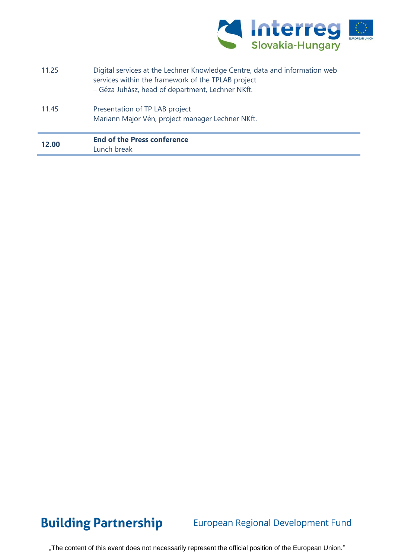

- 11.25 Digital services at the Lechner Knowledge Centre, data and information web services within the framework of the TPLAB project – Géza Juhász, head of department, Lechner NKft. 11.45 Presentation of TP LAB project
	- Mariann Major Vén, project manager Lechner NKft.

| 12.00 | <b>End of the Press conference</b> |
|-------|------------------------------------|
|       | Lunch break                        |



#### European Regional Development Fund